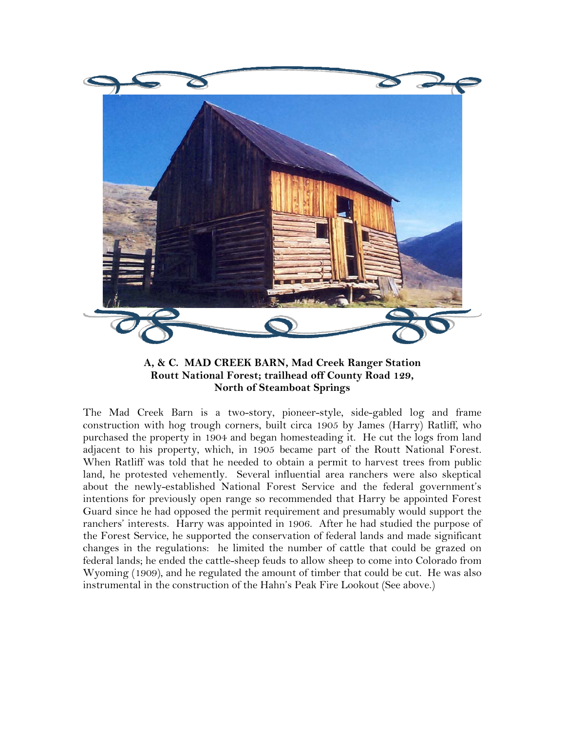

## **A, & C. MAD CREEK BARN, Mad Creek Ranger Station Routt National Forest; trailhead off County Road 129, North of Steamboat Springs**

The Mad Creek Barn is a two-story, pioneer-style, side-gabled log and frame construction with hog trough corners, built circa 1905 by James (Harry) Ratliff, who purchased the property in 1904 and began homesteading it. He cut the logs from land adjacent to his property, which, in 1905 became part of the Routt National Forest. When Ratliff was told that he needed to obtain a permit to harvest trees from public land, he protested vehemently. Several influential area ranchers were also skeptical about the newly-established National Forest Service and the federal government's intentions for previously open range so recommended that Harry be appointed Forest Guard since he had opposed the permit requirement and presumably would support the ranchers' interests. Harry was appointed in 1906. After he had studied the purpose of the Forest Service, he supported the conservation of federal lands and made significant changes in the regulations: he limited the number of cattle that could be grazed on federal lands; he ended the cattle-sheep feuds to allow sheep to come into Colorado from Wyoming (1909), and he regulated the amount of timber that could be cut. He was also instrumental in the construction of the Hahn's Peak Fire Lookout (See above.)